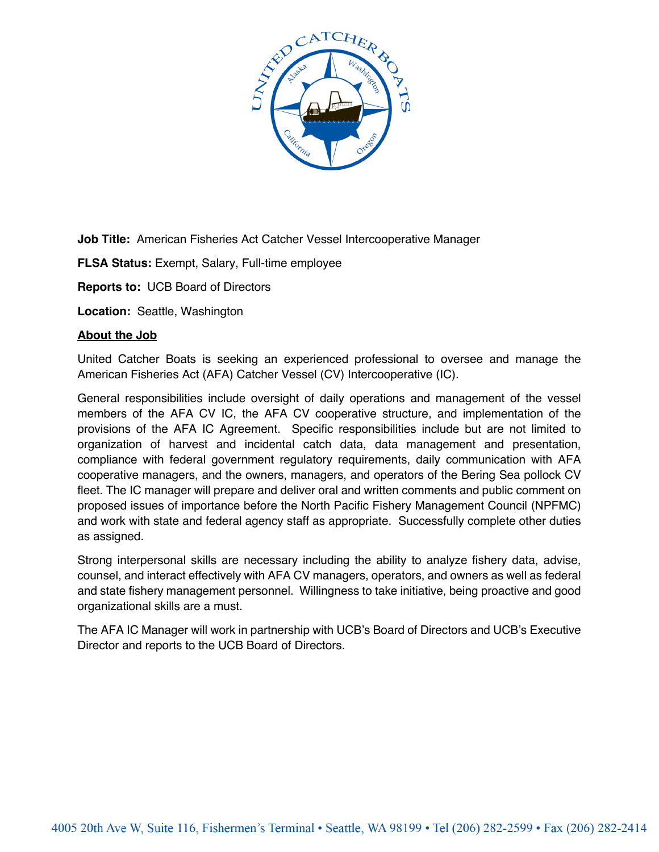

**Job Title:** American Fisheries Act Catcher Vessel Intercooperative Manager

**FLSA Status:** Exempt, Salary, Full-time employee

**Reports to:** UCB Board of Directors

**Location:** Seattle, Washington

#### **About the Job**

United Catcher Boats is seeking an experienced professional to oversee and manage the American Fisheries Act (AFA) Catcher Vessel (CV) Intercooperative (IC).

General responsibilities include oversight of daily operations and management of the vessel members of the AFA CV IC, the AFA CV cooperative structure, and implementation of the provisions of the AFA IC Agreement. Specific responsibilities include but are not limited to organization of harvest and incidental catch data, data management and presentation, compliance with federal government regulatory requirements, daily communication with AFA cooperative managers, and the owners, managers, and operators of the Bering Sea pollock CV fleet. The IC manager will prepare and deliver oral and written comments and public comment on proposed issues of importance before the North Pacific Fishery Management Council (NPFMC) and work with state and federal agency staff as appropriate. Successfully complete other duties as assigned.

Strong interpersonal skills are necessary including the ability to analyze fishery data, advise, counsel, and interact effectively with AFA CV managers, operators, and owners as well as federal and state fishery management personnel. Willingness to take initiative, being proactive and good organizational skills are a must.

The AFA IC Manager will work in partnership with UCB's Board of Directors and UCB's Executive Director and reports to the UCB Board of Directors.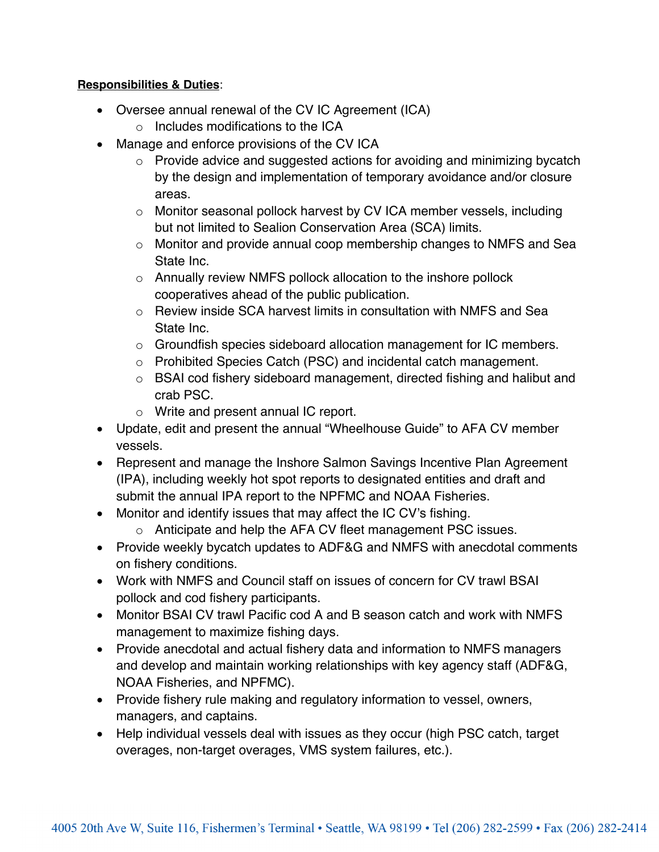# **Responsibilities & Duties**:

- Oversee annual renewal of the CV IC Agreement (ICA)
	- o Includes modifications to the ICA
- Manage and enforce provisions of the CV ICA
	- o Provide advice and suggested actions for avoiding and minimizing bycatch by the design and implementation of temporary avoidance and/or closure areas.
	- o Monitor seasonal pollock harvest by CV ICA member vessels, including but not limited to Sealion Conservation Area (SCA) limits.
	- o Monitor and provide annual coop membership changes to NMFS and Sea State Inc.
	- o Annually review NMFS pollock allocation to the inshore pollock cooperatives ahead of the public publication.
	- $\circ$  Review inside SCA harvest limits in consultation with NMFS and Sea State Inc.
	- o Groundfish species sideboard allocation management for IC members.
	- o Prohibited Species Catch (PSC) and incidental catch management.
	- o BSAI cod fishery sideboard management, directed fishing and halibut and crab PSC.
	- o Write and present annual IC report.
- Update, edit and present the annual "Wheelhouse Guide" to AFA CV member vessels.
- Represent and manage the Inshore Salmon Savings Incentive Plan Agreement (IPA), including weekly hot spot reports to designated entities and draft and submit the annual IPA report to the NPFMC and NOAA Fisheries.
- Monitor and identify issues that may affect the IC CV's fishing.
	- o Anticipate and help the AFA CV fleet management PSC issues.
- Provide weekly bycatch updates to ADF&G and NMFS with anecdotal comments on fishery conditions.
- Work with NMFS and Council staff on issues of concern for CV trawl BSAI pollock and cod fishery participants.
- Monitor BSAI CV trawl Pacific cod A and B season catch and work with NMFS management to maximize fishing days.
- Provide anecdotal and actual fishery data and information to NMFS managers and develop and maintain working relationships with key agency staff (ADF&G, NOAA Fisheries, and NPFMC).
- Provide fishery rule making and regulatory information to vessel, owners, managers, and captains.
- Help individual vessels deal with issues as they occur (high PSC catch, target overages, non-target overages, VMS system failures, etc.).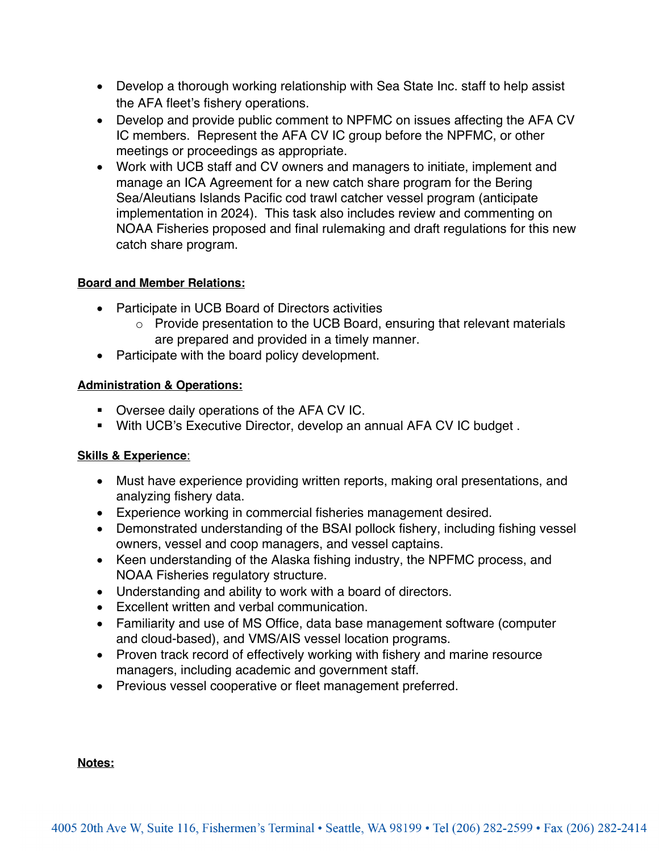- Develop a thorough working relationship with Sea State Inc. staff to help assist the AFA fleet's fishery operations.
- Develop and provide public comment to NPFMC on issues affecting the AFA CV IC members. Represent the AFA CV IC group before the NPFMC, or other meetings or proceedings as appropriate.
- Work with UCB staff and CV owners and managers to initiate, implement and manage an ICA Agreement for a new catch share program for the Bering Sea/Aleutians Islands Pacific cod trawl catcher vessel program (anticipate implementation in 2024). This task also includes review and commenting on NOAA Fisheries proposed and final rulemaking and draft regulations for this new catch share program.

# **Board and Member Relations:**

- Participate in UCB Board of Directors activities
	- o Provide presentation to the UCB Board, ensuring that relevant materials are prepared and provided in a timely manner.
- Participate with the board policy development.

## **Administration & Operations:**

- Oversee daily operations of the AFA CV IC.
- § With UCB's Executive Director, develop an annual AFA CV IC budget .

## **Skills & Experience**:

- Must have experience providing written reports, making oral presentations, and analyzing fishery data.
- Experience working in commercial fisheries management desired.
- Demonstrated understanding of the BSAI pollock fishery, including fishing vessel owners, vessel and coop managers, and vessel captains.
- Keen understanding of the Alaska fishing industry, the NPFMC process, and NOAA Fisheries regulatory structure.
- Understanding and ability to work with a board of directors.
- Excellent written and verbal communication.
- Familiarity and use of MS Office, data base management software (computer and cloud-based), and VMS/AIS vessel location programs.
- Proven track record of effectively working with fishery and marine resource managers, including academic and government staff.
- Previous vessel cooperative or fleet management preferred.

### **Notes:**